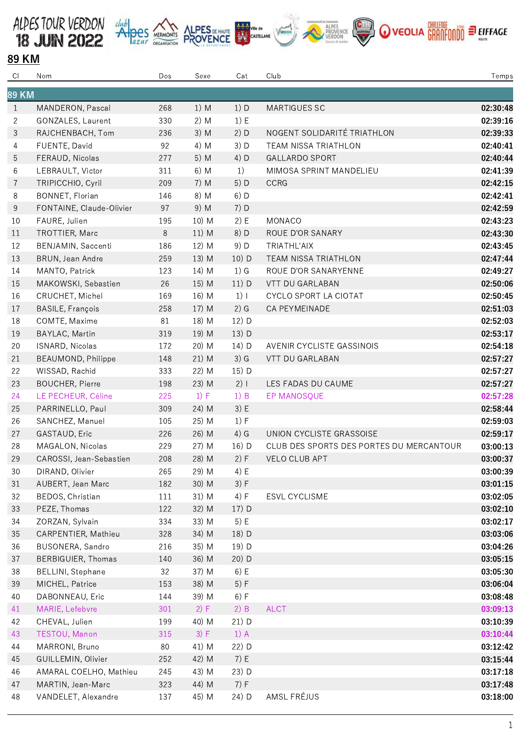











## 89 KM

| CI             | Nom                       | Dos   | Sexe   | Cat     | Club                                     | Temps    |
|----------------|---------------------------|-------|--------|---------|------------------------------------------|----------|
| <b>89 KM</b>   |                           |       |        |         |                                          |          |
| 1              | MANDERON, Pascal          | 268   | 1) M   | 1) D    | MARTIGUES SC                             | 02:30:48 |
| $\overline{c}$ | GONZALES, Laurent         | 330   | $2)$ M | 1) E    |                                          | 02:39:16 |
| 3              | RAJCHENBACH, Tom          | 236   | 3) M   | 2) D    | NOGENT SOLIDARITÉ TRIATHLON              | 02:39:33 |
| 4              | FUENTE, David             | 92    | 4) M   | 3) D    | TEAM NISSA TRIATHLON                     | 02:40:41 |
| 5              | FERAUD, Nicolas           | 277   | 5) M   | 4) D    | <b>GALLARDO SPORT</b>                    | 02:40:44 |
| 6              | LEBRAULT, Victor          | 311   | 6) M   | 1)      | MIMOSA SPRINT MANDELIEU                  | 02:41:39 |
| 7              | TRIPICCHIO, Cyril         | 209   | $7)$ M | 5) D    | <b>CCRG</b>                              | 02:42:15 |
| 8              | <b>BONNET, Florian</b>    | 146   | 8) M   | $6)$ D  |                                          | 02:42:41 |
| 9              | FONTAINE, Claude-Olivier  | 97    | 9) M   | 7) D    |                                          | 02:42:59 |
| 10             | FAURE, Julien             | 195   | 10) M  | 2) E    | MONACO                                   | 02:43:23 |
| 11             | TROTTIER, Marc            | $8\,$ | 11) M  | 8) D    | ROUE D'OR SANARY                         | 02:43:30 |
| 12             | BENJAMIN, Saccenti        | 186   | 12) M  | 9) D    | TRIATHL'AIX                              | 02:43:45 |
| 13             | BRUN, Jean Andre          | 259   | 13) M  | 10) D   | TEAM NISSA TRIATHLON                     | 02:47:44 |
| 14             | MANTO, Patrick            | 123   | 14) M  | $1)$ G  | ROUE D'OR SANARYENNE                     | 02:49:27 |
| 15             | MAKOWSKI, Sebastien       | 26    | 15) M  | $11)$ D | VTT DU GARLABAN                          | 02:50:06 |
| 16             | CRUCHET, Michel           | 169   | 16) M  | $1)$    | CYCLO SPORT LA CIOTAT                    | 02:50:45 |
| 17             | <b>BASILE, François</b>   | 258   | 17) M  | $2)$ G  | CA PEYMEINADE                            | 02:51:03 |
| 18             | COMTE, Maxime             | 81    | 18) M  | 12) D   |                                          | 02:52:03 |
| 19             | BAYLAC, Martin            | 319   | 19) M  | 13) D   |                                          | 02:53:17 |
| 20             | ISNARD, Nicolas           | 172   | 20) M  | 14) D   | AVENIR CYCLISTE GASSINOIS                | 02:54:18 |
| 21             | BEAUMOND, Philippe        | 148   | 21) M  | $3)$ G  | VTT DU GARLABAN                          | 02:57:27 |
| 22             | WISSAD, Rachid            | 333   | 22) M  | 15) D   |                                          | 02:57:27 |
| 23             | <b>BOUCHER, Pierre</b>    | 198   | 23) M  | 2)1     | LES FADAS DU CAUME                       | 02:57:27 |
| 24             | LE PECHEUR, Céline        | 225   | 1) F   | 1) B    | EP MANOSQUE                              | 02:57:28 |
| 25             | PARRINELLO, Paul          | 309   | 24) M  | 3) E    |                                          | 02:58:44 |
| 26             | SANCHEZ, Manuel           | 105   | 25) M  | 1) F    |                                          | 02:59:03 |
| 27             | GASTAUD, Eric             | 226   | 26) M  | 4) G    | UNION CYCLISTE GRASSOISE                 | 02:59:17 |
| 28             | MAGALON, Nicolas          | 229   | 27) M  | 16) D   | CLUB DES SPORTS DES PORTES DU MERCANTOUR | 03:00:13 |
| 29             | CAROSSI, Jean-Sebastien   | 208   | 28) M  | 2) F    | <b>VELO CLUB APT</b>                     | 03:00:37 |
| 30             | DIRAND, Olivier           | 265   | 29) M  | 4) E    |                                          | 03:00:39 |
| 31             | AUBERT, Jean Marc         | 182   | 30) M  | 3) F    |                                          | 03:01:15 |
| 32             | BEDOS, Christian          | 111   | 31) M  | 4) F    | ESVL CYCLISME                            | 03:02:05 |
| 33             | PEZE, Thomas              | 122   | 32) M  | $17)$ D |                                          | 03:02:10 |
| 34             | ZORZAN, Sylvain           | 334   | 33) M  | 5) E    |                                          | 03:02:17 |
| 35             | CARPENTIER, Mathieu       | 328   | 34) M  | 18) D   |                                          | 03:03:06 |
| 36             | BUSONERA, Sandro          | 216   | 35) M  | 19) D   |                                          | 03:04:26 |
| 37             | <b>BERBIGUIER, Thomas</b> | 140   | 36) M  | 20) D   |                                          | 03:05:15 |
| 38             | BELLINI, Stephane         | 32    | 37) M  | 6) E    |                                          | 03:05:30 |
| 39             | MICHEL, Patrice           | 153   | 38) M  | 5) F    |                                          | 03:06:04 |
| 40             | DABONNEAU, Eric           | 144   | 39) M  | 6) F    |                                          | 03:08:48 |
| 41             | MARIE, Lefebvre           | 301   | 2) F   | $2)$ B  | <b>ALCT</b>                              | 03:09:13 |
| 42             | CHEVAL, Julien            | 199   | 40) M  | 21) D   |                                          | 03:10:39 |
| 43             | TESTOU, Manon             | 315   | 3) F   | $1)$ A  |                                          | 03:10:44 |
| 44             | MARRONI, Bruno            | 80    | 41) M  | 22) D   |                                          | 03:12:42 |
| 45             | GUILLEMIN, Olivier        | 252   | 42) M  | 7) E    |                                          | 03:15:44 |
| 46             | AMARAL COELHO, Mathieu    | 245   | 43) M  | 23) D   |                                          | 03:17:18 |
| 47             | MARTIN, Jean-Marc         | 323   | 44) M  | 7) F    |                                          | 03:17:48 |
| 48             | VANDELET, Alexandre       | 137   | 45) M  | 24) D   | AMSL FRÉJUS                              | 03:18:00 |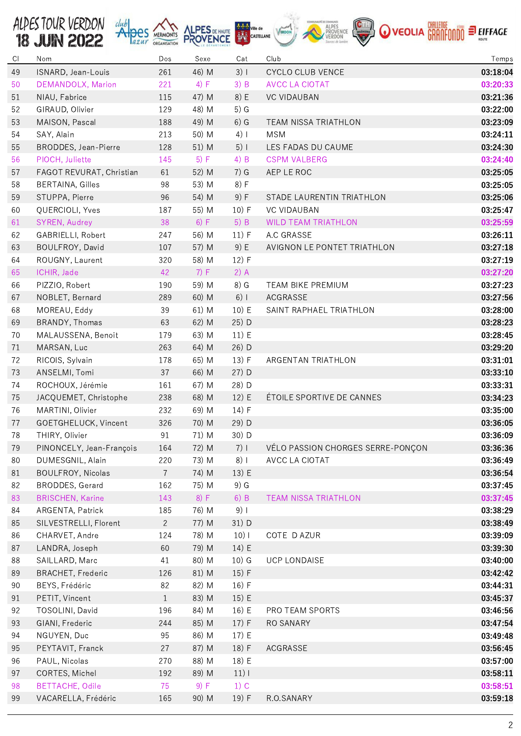| ALDES TOUR VERDON duby SCRIPTION ALPES DE HAUTE AND CASTELLANE VERDON CONTROLLED DE COLLA GRANTE ON O VEOLLA GRANTE ON O ELEFFACE |  |  |  |  |  |  |  |  |
|-----------------------------------------------------------------------------------------------------------------------------------|--|--|--|--|--|--|--|--|
|-----------------------------------------------------------------------------------------------------------------------------------|--|--|--|--|--|--|--|--|

| $C \mid$ | Nom                      | Dos            | Sexe           | Cat     | Club                              | Temps    |
|----------|--------------------------|----------------|----------------|---------|-----------------------------------|----------|
| 49       | ISNARD, Jean-Louis       | 261            | 46) M          | 3)1     | CYCLO CLUB VENCE                  | 03:18:04 |
| 50       | DEMANDOLX, Marion        | 221            | 4) F           | $3)$ B  | <b>AVCC LA CIOTAT</b>             | 03:20:33 |
| 51       | NIAU, Fabrice            | 115            | 47) M          | 8) E    | <b>VC VIDAUBAN</b>                | 03:21:36 |
| 52       | GIRAUD, Olivier          | 129            | 48) M          | $5)$ G  |                                   | 03:22:00 |
| 53       | MAISON, Pascal           | 188            | 49) M          | $6)$ G  | TEAM NISSA TRIATHLON              | 03:23:09 |
| 54       | SAY, Alain               | 213            | 50) M          | $4)$    | <b>MSM</b>                        | 03:24:11 |
| 55       | BRODDES, Jean-Pierre     | 128            | 51) M          | 5)1     | LES FADAS DU CAUME                | 03:24:30 |
| 56       | PIOCH, Juliette          | 145            | 5) F           | $4)$ B  | <b>CSPM VALBERG</b>               | 03:24:40 |
| 57       | FAGOT REVURAT, Christian | 61             | 52) M          | $7)$ G  | AEP LE ROC                        | 03:25:05 |
| 58       | <b>BERTAINA, Gilles</b>  | 98             | 53) M          | 8) F    |                                   | 03:25:05 |
| 59       | STUPPA, Pierre           | 96             | 54) M          | 9) F    | STADE LAURENTIN TRIATHLON         | 03:25:06 |
| 60       | QUERCIOLI, Yves          | 187            | 55) M          | 10) F   | <b>VC VIDAUBAN</b>                | 03:25:47 |
| 61       | SYREN, Audrey            | 38             | 6) F           | 5) B    | <b>WILD TEAM TRIATHLON</b>        | 03:25:59 |
| 62       | GABRIELLI, Robert        | 247            | 56) M          | 11) F   | A.C GRASSE                        | 03:26:11 |
| 63       | BOULFROY, David          | 107            | 57) M          | 9) E    | AVIGNON LE PONTET TRIATHLON       | 03:27:18 |
| 64       | ROUGNY, Laurent          | 320            | 58) M          | 12) F   |                                   | 03:27:19 |
| 65       | ICHIR, Jade              | 42             | 7) F           | $2)$ A  |                                   | 03:27:20 |
| 66       | PIZZIO, Robert           | 190            | 59) M          | 8) G    | TEAM BIKE PREMIUM                 | 03:27:23 |
| 67       | NOBLET, Bernard          | 289            | 60) M          | $6)$    | ACGRASSE                          | 03:27:56 |
| 68       | MOREAU, Eddy             | 39             | 61) M          | 10) E   | SAINT RAPHAEL TRIATHLON           | 03:28:00 |
| 69       | BRANDY, Thomas           | 63             | 62) M          | 25) D   |                                   | 03:28:23 |
| 70       | MALAUSSENA, Benoit       | 179            | 63) M          | 11) E   |                                   | 03:28:45 |
| 71       | MARSAN, Luc              | 263            | 64) M          | 26) D   |                                   | 03:29:20 |
| 72       | RICOIS, Sylvain          | 178            | 65) M          | 13) F   | ARGENTAN TRIATHLON                | 03:31:01 |
|          |                          | 37             |                | 27) D   |                                   |          |
| 73<br>74 | ANSELMI, Tomi            | 161            | 66) M<br>67) M | 28) D   |                                   | 03:33:10 |
|          | ROCHOUX, Jérémie         |                | 68) M          | 12) E   | ÉTOILE SPORTIVE DE CANNES         | 03:33:31 |
| 75       | JACQUEMET, Christophe    | 238            |                |         |                                   | 03:34:23 |
| 76       | MARTINI, Olivier         | 232            | 69) M          | 14) F   |                                   | 03:35:00 |
| 77       | GOETGHELUCK, Vincent     | 326            | 70) M          | 29) D   |                                   | 03:36:05 |
| 78       | THIRY, Olivier           | 91             | 71) M          | 30) D   |                                   | 03:36:09 |
| 79       | PINONCELY, Jean-François | 164            | 72) M          | $7)$    | VÉLO PASSION CHORGES SERRE-PONÇON | 03:36:36 |
| 80       | DUMESGNIL, Alain         | 220            | 73) M          | 8)1     | AVCC LA CIOTAT                    | 03:36:49 |
| 81       | BOULFROY, Nicolas        | $\overline{7}$ | 74) M          | 13) E   |                                   | 03:36:54 |
| 82       | <b>BRODDES, Gerard</b>   | 162            | 75) M          | $9)$ G  |                                   | 03:37:45 |
| 83       | <b>BRISCHEN, Karine</b>  | 143            | 8) F           | $6)$ B  | <b>TEAM NISSA TRIATHLON</b>       | 03:37:45 |
| 84       | ARGENTA, Patrick         | 185            | 76) M          | 9)1     |                                   | 03:38:29 |
| 85       | SILVESTRELLI, Florent    | $\overline{c}$ | 77) M          | 31) D   |                                   | 03:38:49 |
| 86       | CHARVET, Andre           | 124            | 78) M          | $10)$   | COTE D AZUR                       | 03:39:09 |
| 87       | LANDRA, Joseph           | 60             | 79) M          | 14) E   |                                   | 03:39:30 |
| 88       | SAILLARD, Marc           | 41             | 80) M          | $10)$ G | <b>UCP LONDAISE</b>               | 03:40:00 |
| 89       | BRACHET, Frederic        | 126            | 81) M          | 15) F   |                                   | 03:42:42 |
| 90       | BEYS, Frédéric           | 82             | 82) M          | 16) F   |                                   | 03:44:31 |
| 91       | PETIT, Vincent           | $\mathbf{1}$   | 83) M          | 15) E   |                                   | 03:45:37 |
| 92       | TOSOLINI, David          | 196            | 84) M          | 16) E   | PRO TEAM SPORTS                   | 03:46:56 |
| 93       | GIANI, Frederic          | 244            | 85) M          | 17) F   | RO SANARY                         | 03:47:54 |
| 94       | NGUYEN, Duc              | 95             | 86) M          | 17) E   |                                   | 03:49:48 |
| 95       | PEYTAVIT, Franck         | 27             | 87) M          | 18) F   | ACGRASSE                          | 03:56:45 |
| 96       | PAUL, Nicolas            | 270            | 88) M          | 18) E   |                                   | 03:57:00 |
| 97       | CORTES, Michel           | 192            | 89) M          | $11)$   |                                   | 03:58:11 |
| 98       | <b>BETTACHE, Odile</b>   | 75             | 9) F           | $1)$ C  |                                   | 03:58:51 |
| 99       | VACARELLA, Frédéric      | 165            | 90) M          | 19) F   | R.O.SANARY                        | 03:59:18 |
|          |                          |                |                |         |                                   |          |